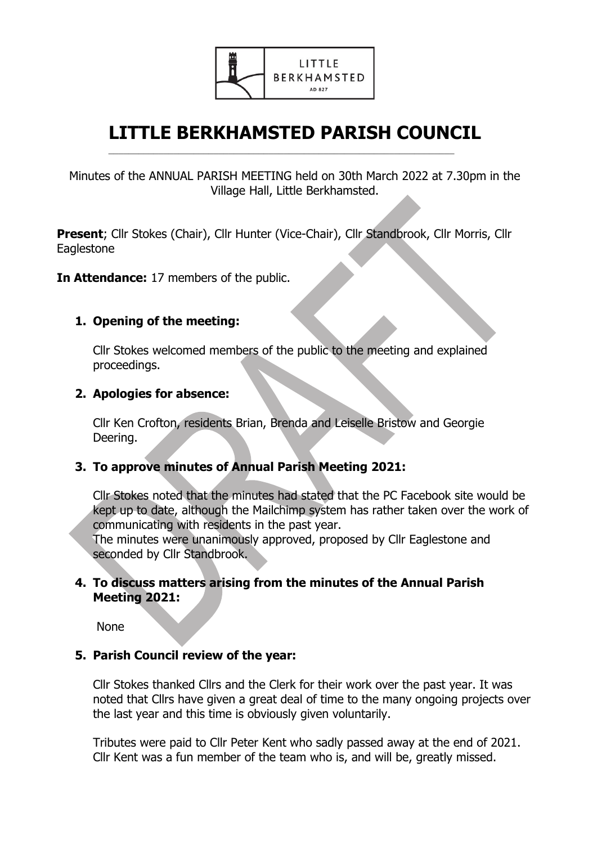

# **LITTLE BERKHAMSTED PARISH COUNCIL**

 $\mathcal{L}_\mathcal{L} = \mathcal{L}_\mathcal{L} = \mathcal{L}_\mathcal{L} = \mathcal{L}_\mathcal{L} = \mathcal{L}_\mathcal{L} = \mathcal{L}_\mathcal{L} = \mathcal{L}_\mathcal{L} = \mathcal{L}_\mathcal{L} = \mathcal{L}_\mathcal{L} = \mathcal{L}_\mathcal{L} = \mathcal{L}_\mathcal{L} = \mathcal{L}_\mathcal{L} = \mathcal{L}_\mathcal{L} = \mathcal{L}_\mathcal{L} = \mathcal{L}_\mathcal{L} = \mathcal{L}_\mathcal{L} = \mathcal{L}_\mathcal{L}$ 

Minutes of the ANNUAL PARISH MEETING held on 30th March 2022 at 7.30pm in the Village Hall, Little Berkhamsted.

**Present**; Cllr Stokes (Chair), Cllr Hunter (Vice-Chair), Cllr Standbrook, Cllr Morris, Cllr **Eaglestone** 

**In Attendance:** 17 members of the public.

## **1. Opening of the meeting:**

Cllr Stokes welcomed members of the public to the meeting and explained proceedings.

## **2. Apologies for absence:**

Cllr Ken Crofton, residents Brian, Brenda and Leiselle Bristow and Georgie Deering.

## **3. To approve minutes of Annual Parish Meeting 2021:**

Cllr Stokes noted that the minutes had stated that the PC Facebook site would be kept up to date, although the Mailchimp system has rather taken over the work of communicating with residents in the past year.

The minutes were unanimously approved, proposed by Cllr Eaglestone and seconded by Cllr Standbrook.

## **4. To discuss matters arising from the minutes of the Annual Parish Meeting 2021:**

None

## **5. Parish Council review of the year:**

Cllr Stokes thanked Cllrs and the Clerk for their work over the past year. It was noted that Cllrs have given a great deal of time to the many ongoing projects over the last year and this time is obviously given voluntarily.

Tributes were paid to Cllr Peter Kent who sadly passed away at the end of 2021. Cllr Kent was a fun member of the team who is, and will be, greatly missed.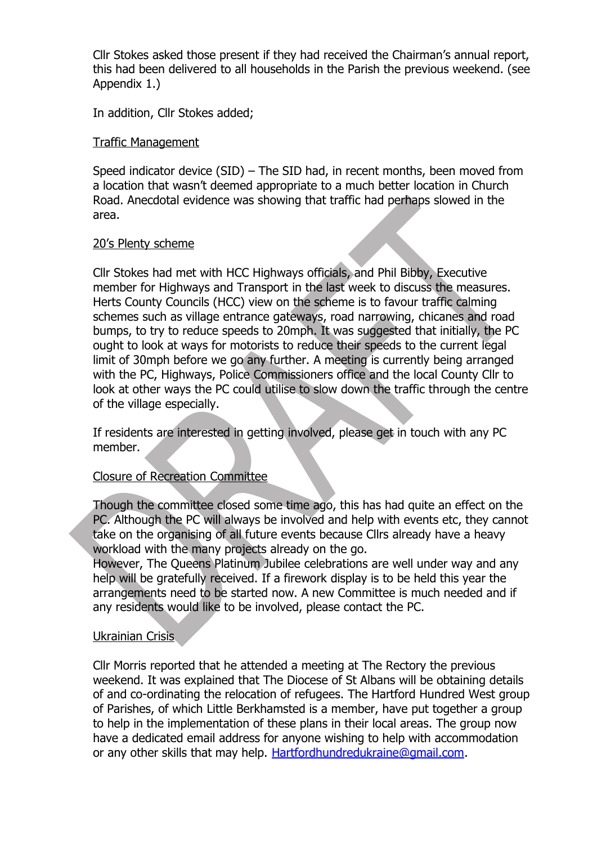Cllr Stokes asked those present if they had received the Chairman's annual report, this had been delivered to all households in the Parish the previous weekend. (see Appendix 1.)

In addition, Cllr Stokes added;

#### Traffic Management

Speed indicator device (SID) – The SID had, in recent months, been moved from a location that wasn't deemed appropriate to a much better location in Church Road. Anecdotal evidence was showing that traffic had perhaps slowed in the area.

#### 20's Plenty scheme

Cllr Stokes had met with HCC Highways officials, and Phil Bibby, Executive member for Highways and Transport in the last week to discuss the measures. Herts County Councils (HCC) view on the scheme is to favour traffic calming schemes such as village entrance gateways, road narrowing, chicanes and road bumps, to try to reduce speeds to 20mph. It was suggested that initially, the PC ought to look at ways for motorists to reduce their speeds to the current legal limit of 30mph before we go any further. A meeting is currently being arranged with the PC, Highways, Police Commissioners office and the local County Cllr to look at other ways the PC could utilise to slow down the traffic through the centre of the village especially.

If residents are interested in getting involved, please get in touch with any PC member.

## Closure of Recreation Committee

Though the committee closed some time ago, this has had quite an effect on the PC. Although the PC will always be involved and help with events etc, they cannot take on the organising of all future events because Cllrs already have a heavy workload with the many projects already on the go.

However, The Queens Platinum Jubilee celebrations are well under way and any help will be gratefully received. If a firework display is to be held this year the arrangements need to be started now. A new Committee is much needed and if any residents would like to be involved, please contact the PC.

#### Ukrainian Crisis

Cllr Morris reported that he attended a meeting at The Rectory the previous weekend. It was explained that The Diocese of St Albans will be obtaining details of and co-ordinating the relocation of refugees. The Hartford Hundred West group of Parishes, of which Little Berkhamsted is a member, have put together a group to help in the implementation of these plans in their local areas. The group now have a dedicated email address for anyone wishing to help with accommodation or any other skills that may help. [Hartfordhundredukraine@gmail.com](mailto:Hartfordhundredukraine@gmail.com).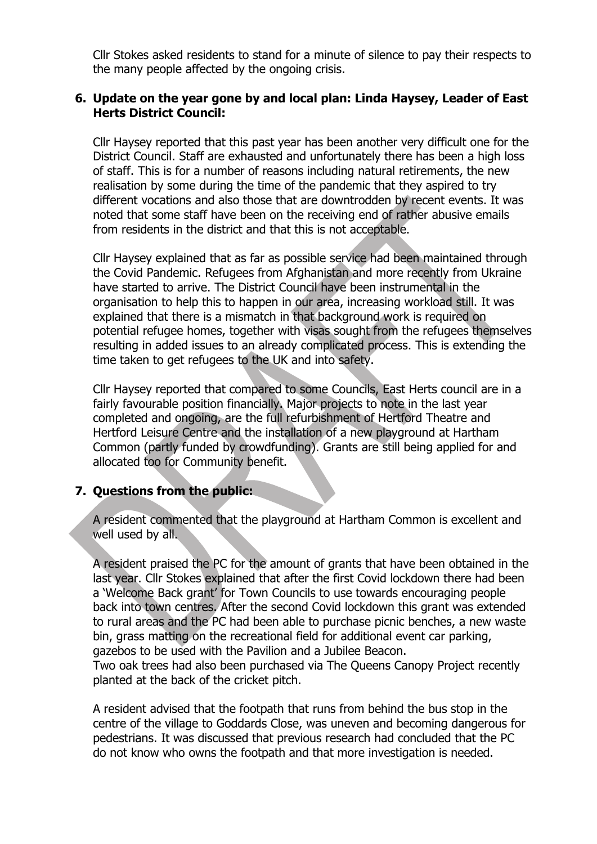Cllr Stokes asked residents to stand for a minute of silence to pay their respects to the many people affected by the ongoing crisis.

### **6. Update on the year gone by and local plan: Linda Haysey, Leader of East Herts District Council:**

Cllr Haysey reported that this past year has been another very difficult one for the District Council. Staff are exhausted and unfortunately there has been a high loss of staff. This is for a number of reasons including natural retirements, the new realisation by some during the time of the pandemic that they aspired to try different vocations and also those that are downtrodden by recent events. It was noted that some staff have been on the receiving end of rather abusive emails from residents in the district and that this is not acceptable.

Cllr Haysey explained that as far as possible service had been maintained through the Covid Pandemic. Refugees from Afghanistan and more recently from Ukraine have started to arrive. The District Council have been instrumental in the organisation to help this to happen in our area, increasing workload still. It was explained that there is a mismatch in that background work is required on potential refugee homes, together with visas sought from the refugees themselves resulting in added issues to an already complicated process. This is extending the time taken to get refugees to the UK and into safety.

Cllr Haysey reported that compared to some Councils, East Herts council are in a fairly favourable position financially. Major projects to note in the last year completed and ongoing, are the full refurbishment of Hertford Theatre and Hertford Leisure Centre and the installation of a new playground at Hartham Common (partly funded by crowdfunding). Grants are still being applied for and allocated too for Community benefit.

## **7. Questions from the public:**

A resident commented that the playground at Hartham Common is excellent and well used by all.

A resident praised the PC for the amount of grants that have been obtained in the last year. Cllr Stokes explained that after the first Covid lockdown there had been a 'Welcome Back grant' for Town Councils to use towards encouraging people back into town centres. After the second Covid lockdown this grant was extended to rural areas and the PC had been able to purchase picnic benches, a new waste bin, grass matting on the recreational field for additional event car parking, gazebos to be used with the Pavilion and a Jubilee Beacon. Two oak trees had also been purchased via The Queens Canopy Project recently

planted at the back of the cricket pitch.

A resident advised that the footpath that runs from behind the bus stop in the centre of the village to Goddards Close, was uneven and becoming dangerous for pedestrians. It was discussed that previous research had concluded that the PC do not know who owns the footpath and that more investigation is needed.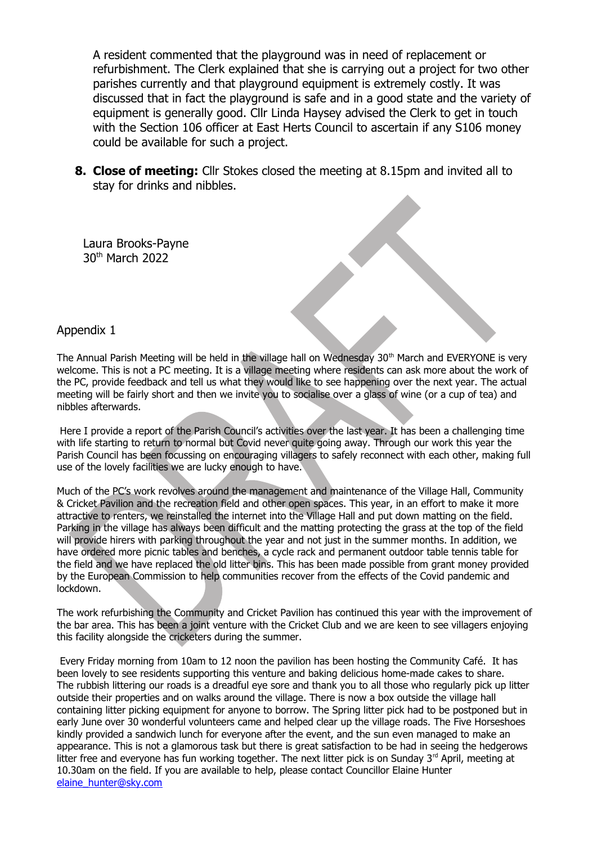A resident commented that the playground was in need of replacement or refurbishment. The Clerk explained that she is carrying out a project for two other parishes currently and that playground equipment is extremely costly. It was discussed that in fact the playground is safe and in a good state and the variety of equipment is generally good. Cllr Linda Haysey advised the Clerk to get in touch with the Section 106 officer at East Herts Council to ascertain if any S106 money could be available for such a project.

**8. Close of meeting:** Cllr Stokes closed the meeting at 8.15pm and invited all to stay for drinks and nibbles.

 Laura Brooks-Payne 30th March 2022

#### Appendix 1

The Annual Parish Meeting will be held in the village hall on Wednesday 30<sup>th</sup> March and EVERYONE is very welcome. This is not a PC meeting. It is a village meeting where residents can ask more about the work of the PC, provide feedback and tell us what they would like to see happening over the next year. The actual meeting will be fairly short and then we invite you to socialise over a glass of wine (or a cup of tea) and nibbles afterwards.

 Here I provide a report of the Parish Council's activities over the last year. It has been a challenging time with life starting to return to normal but Covid never quite going away. Through our work this year the Parish Council has been focussing on encouraging villagers to safely reconnect with each other, making full use of the lovely facilities we are lucky enough to have.

Much of the PC's work revolves around the management and maintenance of the Village Hall, Community & Cricket Pavilion and the recreation field and other open spaces. This year, in an effort to make it more attractive to renters, we reinstalled the internet into the Village Hall and put down matting on the field. Parking in the village has always been difficult and the matting protecting the grass at the top of the field will provide hirers with parking throughout the year and not just in the summer months. In addition, we have ordered more picnic tables and benches, a cycle rack and permanent outdoor table tennis table for the field and we have replaced the old litter bins. This has been made possible from grant money provided by the European Commission to help communities recover from the effects of the Covid pandemic and lockdown.

The work refurbishing the Community and Cricket Pavilion has continued this year with the improvement of the bar area. This has been a joint venture with the Cricket Club and we are keen to see villagers enjoying this facility alongside the cricketers during the summer.

 Every Friday morning from 10am to 12 noon the pavilion has been hosting the Community Café. It has been lovely to see residents supporting this venture and baking delicious home-made cakes to share. The rubbish littering our roads is a dreadful eye sore and thank you to all those who regularly pick up litter outside their properties and on walks around the village. There is now a box outside the village hall containing litter picking equipment for anyone to borrow. The Spring litter pick had to be postponed but in early June over 30 wonderful volunteers came and helped clear up the village roads. The Five Horseshoes kindly provided a sandwich lunch for everyone after the event, and the sun even managed to make an appearance. This is not a glamorous task but there is great satisfaction to be had in seeing the hedgerows litter free and everyone has fun working together. The next litter pick is on Sunday 3<sup>rd</sup> April, meeting at 10.30am on the field. If you are available to help, please contact Councillor Elaine Hunter [elaine\\_hunter@sky.com](mailto:elaine_hunter@sky.com)